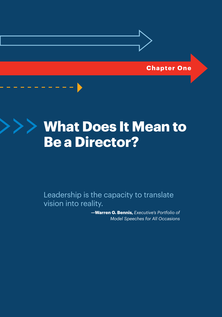

# **What Does It Mean to Be a Director?**

Leadership is the capacity to translate vision into reality.

> **—Warren G. Bennis,** *Executive's Portfolio of Model Speeches for All Occasions*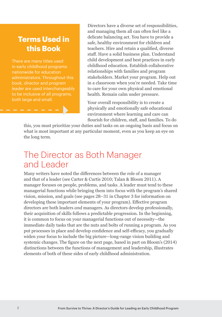#### **Terms Used in this Book**

There are many titles used in early childhood programs nationwide for education administrators. Throughout this book, *director* and *program leader* are used interchangeably to be inclusive of all programs, both large and small.

Directors have a diverse set of responsibilities, and managing them all can often feel like a delicate balancing act. You have to provide a safe, healthy environment for children and teachers. Hire and retain a qualified, diverse staff. Have a solid business plan. Understand child development and best practices in early childhood education. Establish collaborative relationships with families and program stakeholders. Market your program. Help out in a classroom when you're needed. Take time to care for your own physical and emotional health. Remain calm under pressure.

Your overall responsibility is to create a physically and emotionally safe educational environment where learning and care can flourish for children, staff, and families. To do

this, you must prioritize your duties and tasks on an ongoing basis and focus on what is most important at any particular moment, even as you keep an eye on the long term.

## The Director as Both Manager and Leader

Many writers have noted the differences between the role of a manager and that of a leader (see Carter & Curtis 2010; Talan & Bloom 2011). A manager focuses on people, problems, and tasks. A leader must tend to these managerial functions while bringing them into focus with the program's shared vision, mission, and goals (see pages 28–31 in Chapter 3 for information on developing these important elements of your program). Effective program directors are both leaders *and* managers. As directors develop professionally, their acquisition of skills follows a predictable progression. In the beginning, it is common to focus on your managerial functions out of necessity—the immediate daily tasks that are the nuts and bolts of running a program. As you put processes in place and develop confidence and self-efficacy, you gradually widen your focus to include the big picture—long-range vision building and systemic changes. The figure on the next page, based in part on Bloom's (2014) distinctions between the functions of management and leadership, illustrates elements of both of these sides of early childhood administration.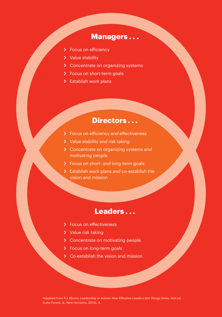#### **Managers . . .**

- > Focus on efficiency
- › Value stability
- > Concentrate on organizing systems
- > Focus on short-term goals
- › Establish work plans

#### **Directors . . .**

- › Focus on efficiency *and* effectiveness
- › Value stability *and* risk taking
- › Concentrate on organizing systems *and* motivating people
- › Focus on short- *and* long-term goals
- › Establish work plans *and* co-establish the vision and mission

#### **Leaders . . .**

- > Focus on effectiveness
- > Value risk taking
- › Concentrate on motivating people
- > Focus on long-term goals
- › Co-establish the vision and mission

Adapted from P.J. Bloom, *Leadership in Action: How Effective Leaders Get Things Done,* 2nd ed. (Lake Forest, IL: New Horizons, 2014), 4.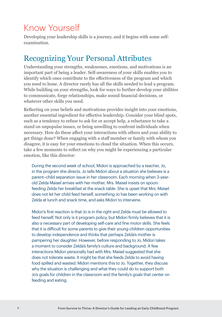# Know Yourself

Developing your leadership skills is a journey, and it begins with some selfexamination.

#### Recognizing Your Personal Attributes

Understanding your strengths, weaknesses, emotions, and motivations is an important part of being a leader. Self-awareness of your skills enables you to identify which ones contribute to the effectiveness of the program and which you need to hone. A director rarely has all the skills needed to lead a program. While building on your strengths, look for ways to further develop your abilities to communicate, forge relationships, make sound financial decisions, or whatever other skills you need.

Reflecting on your beliefs and motivations provides insight into your emotions, another essential ingredient for effective leadership. Consider your blind spots, such as a tendency to refuse to ask for or accept help, a reluctance to take a stand on unpopular issues, or being unwilling to confront individuals when necessary. How do these affect your interactions with others and your ability to get things done? When engaging with a staff member or family with whom you disagree, it is easy for your emotions to cloud the situation*.* When this occurs, take a few moments to reflect on why you might be experiencing a particular emotion, like this director:

During the second week of school, Midori is approached by a teacher, Jo, in the program she directs. Jo tells Midori about a situation she believes is a parent–child separation issue in her classroom. Each morning when 3-yearold Zelda Maisel arrives with her mother, Mrs. Maisel insists on spoonfeeding Zelda her breakfast at the snack table. She is upset that Mrs. Maisel does not let her child feed herself, something Jo has been working on with Zelda at lunch and snack time, and asks Midori to intervene.

Midori's first reaction is that Jo is in the right and Zelda must be allowed to feed herself. Not only is it program policy, but Midori firmly believes that it is also a necessary part of developing self-care and fine motor skills. She feels that it is difficult for some parents to give their young children opportunities to develop independence and thinks that perhaps Zelda's mother is pampering her daughter. However, before responding to Jo, Midori takes a moment to consider Zelda's family's culture and background. A few interactions Midori personally had with Mrs. Maisel suggested that she does not tolerate waste. It might be that she feeds Zelda to avoid having food spilled and wasted. Midori mentions this to Jo. Together, they discuss why the situation is challenging and what they could do to support both Jo's goals for children in the classroom and the family's goals that center on feeding and eating.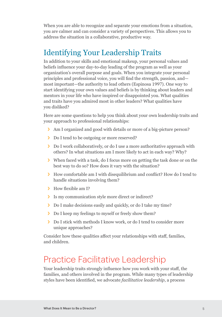When you are able to recognize and separate your emotions from a situation, you are calmer and can consider a variety of perspectives. This allows you to address the situation in a collaborative, productive way.

### Identifying Your Leadership Traits

In addition to your skills and emotional makeup, your personal values and beliefs influence your day-to-day leading of the program as well as your organization's overall purpose and goals. When you integrate your personal principles and professional voice, you will find the strength, passion, and most important—the authority to lead others (Espinosa 1997). One way to start identifying your own values and beliefs is by thinking about leaders and mentors in your life who have inspired or disappointed you. What qualities and traits have you admired most in other leaders? What qualities have you disliked?

Here are some questions to help you think about your own leadership traits and your approach to professional relationships:

- › Am I organized and good with details or more of a big-picture person?
- › Do I tend to be outgoing or more reserved?
- › Do I work collaboratively, or do I use a more authoritative approach with others? In what situations am I more likely to act in each way? Why?
- › When faced with a task, do I focus more on getting the task done or on the best way to do so? How does it vary with the situation?
- › How comfortable am I with disequilibrium and conflict? How do I tend to handle situations involving them?
- › How flexible am I?
- › Is my communication style more direct or indirect?
- › Do I make decisions easily and quickly, or do I take my time?
- › Do I keep my feelings to myself or freely show them?
- › Do I stick with methods I know work, or do I tend to consider more unique approaches?

Consider how these qualities affect your relationships with staff, families, and children.

# Practice Facilitative Leadership

Your leadership traits strongly influence how you work with your staff, the families, and others involved in the program. While many types of leadership styles have been identified, we advocate *facilitative leadership*, a process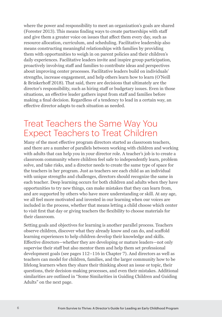where the power and responsibility to meet an organization's goals are shared (Forester 2013). This means finding ways to create partnerships with staff and give them a greater voice on issues that affect them every day, such as resource allocation, curriculum, and scheduling. Facilitative leadership also means constructing meaningful relationships with families by providing them with opportunities to weigh in on parent policies and their children's daily experiences. Facilitative leaders invite and inspire group participation, proactively involving staff and families to contribute ideas and perspectives about improving center processes. Facilitative leaders build on individuals' strengths, increase engagement, and help others learn how to learn (O'Neill & Brinkerhoff 2018). That said, there are decisions that ultimately are the director's responsibility, such as hiring staff or budgetary issues. Even in those situations, an effective leader gathers input from staff and families before making a final decision. Regardless of a tendency to lead in a certain way, an effective director adapts to each situation as needed.

# Treat Teachers the Same Way You Expect Teachers to Treat Children

Many of the most effective program directors started as classroom teachers, and there are a number of parallels between working with children and working with adults that can help you in your director role. A teacher's job is to create a classroom community where children feel safe to independently learn, problem solve, and take risks, and a director needs to create the same type of space for the teachers in her program. Just as teachers see each child as an individual with unique strengths and challenges, directors should recognize the same in each teacher. Deep learning occurs for both children and adults when they have opportunities to try new things, can make mistakes that they can learn from, and are supported by others who have more understanding or skill. At any age, we all feel more motivated and invested in our learning when our voices are included in the process, whether that means letting a child choose which center to visit first that day or giving teachers the flexibility to choose materials for their classroom.

Setting goals and objectives for learning is another parallel process. Teachers observe children, discover what they already know and can do, and scaffold learning experiences to help children develop their knowledge and skills. Effective directors—whether they are developing or mature leaders—not only supervise their staff but also mentor them and help them set professional development goals (see pages 112–116 in Chapter 7). And directors as well as teachers can model for children, families, and the larger community how to be lifelong learners when they share their thinking about an issue or topic, their questions, their decision-making processes, and even their mistakes. Additional similarities are outlined in "Some Similarities in Guiding Children and Guiding Adults" on the next page.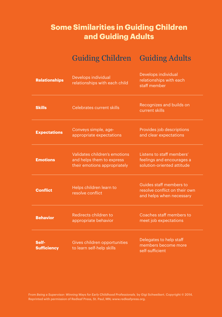#### **Some Similarities in Guiding Children and Guiding Adults**

### Guiding Children Guiding Adults

| <b>Relationships</b>        | Develops individual<br>relationships with each child                                       | Develops individual<br>relationships with each<br>staff member                       |
|-----------------------------|--------------------------------------------------------------------------------------------|--------------------------------------------------------------------------------------|
| <b>Skills</b>               | <b>Celebrates current skills</b>                                                           | Recognizes and builds on<br>current skills                                           |
| <b>Expectations</b>         | Conveys simple, age-<br>appropriate expectations                                           | Provides job descriptions<br>and clear expectations                                  |
| <b>Emotions</b>             | Validates children's emotions<br>and helps them to express<br>their emotions appropriately | Listens to staff members'<br>feelings and encourages a<br>solution-oriented attitude |
| <b>Conflict</b>             | Helps children learn to<br>resolve conflict                                                | Guides staff members to<br>resolve conflict on their own<br>and helps when necessary |
| <b>Behavior</b>             | Redirects children to<br>appropriate behavior                                              | Coaches staff members to<br>meet job expectations                                    |
| Self-<br><b>Sufficiency</b> | Gives children opportunities<br>to learn self-help skills                                  | Delegates to help staff<br>members become more<br>self-sufficient                    |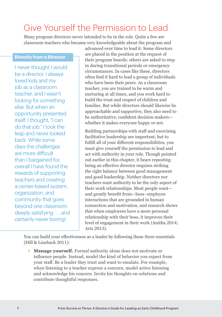# Give Yourself the Permission to Lead

Many program directors never intended to be in the role. Quite a few are classroom teachers who became very knowledgeable about the program and

#### **Directly from a Director**

I never thought I would be a director. I always loved kids and my job as a classroom teacher, and I wasn't looking for something else. But when an opportunity presented itself, I thought, "I can do that job." I took the leap and never looked back. While some days the challenges are more difficult than I bargained for, overall I have found the rewards of supporting teachers and creating a center-based system, organization, and community that goes beyond one classroom deeply satisfying . . . and certainly never boring!

advanced over time to lead it. Some directors are placed in the position at the request of their program boards; others are asked to step in during transitional periods or emergency circumstances. In cases like these, directors often find it hard to lead a group of individuals who have been their peers. As a classroom teacher, you are trained to be warm and nurturing at all times, and you work hard to build the trust and respect of children and families. But while directors should likewise be approachable and supportive, they also need to be authoritative, confident decision makers whether it makes everyone happy or not.

Building partnerships with staff and exercising facilitative leadership are important, but to fulfill all of your different responsibilities, you must give yourself the permission to lead and act with authority in your role. Though pointed out earlier in this chapter, it bears repeating: being an effective director requires striking the right balance between good management and good leadership. Neither directors nor teachers want authority to be the only aspect of their work relationships. Most people want and greatly benefit from—boss–employee interactions that are grounded in human connection and motivation, and research shows that when employees have a more personal relationship with their boss, it improves their level of engagement in their work (Anitha 2014; Artz 2013).

You can build your effectiveness as a leader by following these three essentials (Hill & Lineback 2011):

› **Manage yourself.** Formal authority alone does not motivate or influence people. Instead, model the kind of behavior you expect from your staff. Be a leader they trust and want to emulate. For example, when listening to a teacher express a concern, model active listening and acknowledge his concern. Invite his thoughts on solutions and contribute thoughtful responses.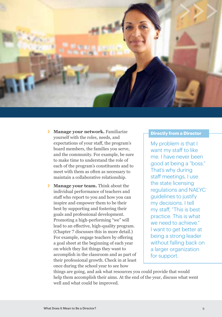

- › **Manage your network.** Familiarize yourself with the roles, needs, and expectations of your staff, the program's board members, the families you serve, and the community. For example, be sure to make time to understand the role of each of the program's constituents and to meet with them as often as necessary to maintain a collaborative relationship.
- › **Manage your team.** Think about the individual performance of teachers and staff who report to you and how you can inspire and empower them to be their best by supporting and fostering their goals and professional development. Promoting a high-performing "we" will lead to an effective, high-quality program. (Chapter 7 discusses this in more detail.) For example, engage teachers by offering a goal sheet at the beginning of each year on which they list things they want to accomplish in the classroom and as part of their professional growth. Check in at least once during the school year to see how

#### **Directly from a Director**

My problem is that I want my staff to like me. I have never been good at being a "boss." That's why during staff meetings, I use the state licensing regulations and NAEYC guidelines to justify my decisions. I tell my staff, "This is best practice. This is what we need to achieve." I want to get better at being a strong leader without falling back on a larger organization for support.

things are going, and ask what resources you could provide that would help them accomplish their aims. At the end of the year, discuss what went well and what could be improved.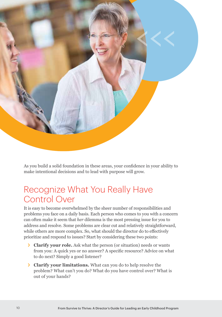

As you build a solid foundation in these areas, your confidence in your ability to make intentional decisions and to lead with purpose will grow.

# Recognize What You Really Have Control Over

It is easy to become overwhelmed by the sheer number of responsibilities and problems you face on a daily basis. Each person who comes to you with a concern can often make it seem that *her* dilemma is the most pressing issue for you to address and resolve. Some problems are clear cut and relatively straightforward, while others are more complex. So, what should the director do to effectively prioritize and respond to issues? Start by considering these two points:

- › **Clarify your role.** Ask what the person (or situation) needs or wants from you: A quick yes or no answer? A specific resource? Advice on what to do next? Simply a good listener?
- › **Clarify your limitations.** What can you do to help resolve the problem? What can't you do? What do you have control over? What is out of your hands?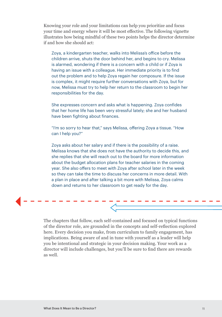Knowing your role and your limitations can help you prioritize and focus your time and energy where it will be most effective. The following vignette illustrates how being mindful of these two points helps the director determine if and how she should act:

Zoya, a kindergarten teacher, walks into Melissa's office before the children arrive, shuts the door behind her, and begins to cry. Melissa is alarmed, wondering if there is a concern with a child or if Zoya is having an issue with a colleague. Her immediate priority is to find out the problem and to help Zoya regain her composure. If the issue is complex, it might require further conversations with Zoya, but for now, Melissa must try to help her return to the classroom to begin her responsibilities for the day.

She expresses concern and asks what is happening. Zoya confides that her home life has been very stressful lately; she and her husband have been fighting about finances.

"I'm so sorry to hear that," says Melissa, offering Zoya a tissue. "How can I help you?"

Zoya asks about her salary and if there is the possibility of a raise. Melissa knows that she does not have the authority to decide this, and she replies that she will reach out to the board for more information about the budget allocation plans for teacher salaries in the coming year. She also offers to meet with Zoya after school later in the week so they can take the time to discuss her concerns in more detail. With a plan in place and after talking a bit more with Melissa, Zoya calms down and returns to her classroom to get ready for the day.

The chapters that follow, each self-contained and focused on typical functions of the director role, are grounded in the concepts and self-reflection explored here. Every decision you make, from curriculum to family engagement, has implications. Being aware of and in tune with yourself as a leader will help you be intentional and strategic in your decision making. Your work as a director will include challenges, but you'll be sure to find there are rewards as well.